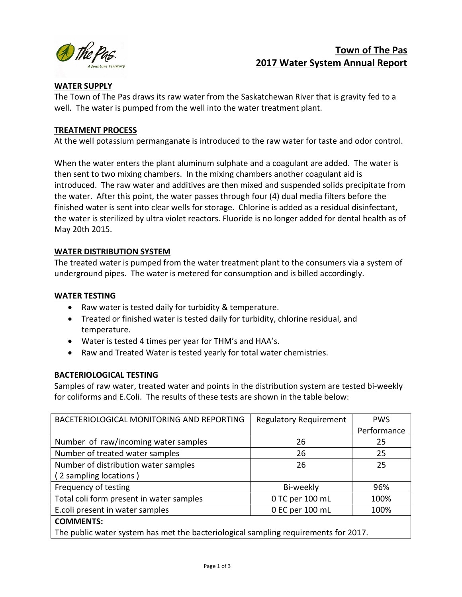

# Town of The Pas 2017 Water System Annual Report

## WATER SUPPLY

The Town of The Pas draws its raw water from the Saskatchewan River that is gravity fed to a well. The water is pumped from the well into the water treatment plant.

## TREATMENT PROCESS

At the well potassium permanganate is introduced to the raw water for taste and odor control.

When the water enters the plant aluminum sulphate and a coagulant are added. The water is then sent to two mixing chambers. In the mixing chambers another coagulant aid is introduced. The raw water and additives are then mixed and suspended solids precipitate from the water. After this point, the water passes through four (4) dual media filters before the finished water is sent into clear wells for storage. Chlorine is added as a residual disinfectant, the water is sterilized by ultra violet reactors. Fluoride is no longer added for dental health as of May 20th 2015.

## WATER DISTRIBUTION SYSTEM

The treated water is pumped from the water treatment plant to the consumers via a system of underground pipes. The water is metered for consumption and is billed accordingly.

## WATER TESTING

- Raw water is tested daily for turbidity & temperature.
- Treated or finished water is tested daily for turbidity, chlorine residual, and temperature.
- Water is tested 4 times per year for THM's and HAA's.
- Raw and Treated Water is tested yearly for total water chemistries.

## BACTERIOLOGICAL TESTING

Samples of raw water, treated water and points in the distribution system are tested bi-weekly for coliforms and E.Coli. The results of these tests are shown in the table below:

| BACETERIOLOGICAL MONITORING AND REPORTING                                           | <b>Regulatory Requirement</b> | <b>PWS</b>  |  |  |
|-------------------------------------------------------------------------------------|-------------------------------|-------------|--|--|
|                                                                                     |                               | Performance |  |  |
| Number of raw/incoming water samples                                                | 26                            | 25          |  |  |
| Number of treated water samples                                                     | 26                            | 25          |  |  |
| Number of distribution water samples                                                | 26                            | 25          |  |  |
| (2 sampling locations)                                                              |                               |             |  |  |
| Frequency of testing                                                                | Bi-weekly                     | 96%         |  |  |
| Total coli form present in water samples                                            | 0 TC per 100 mL               | 100%        |  |  |
| E.coli present in water samples                                                     | 0 EC per 100 mL               | 100%        |  |  |
| <b>COMMENTS:</b>                                                                    |                               |             |  |  |
| The public water system has met the bacteriological sampling requirements for 2017. |                               |             |  |  |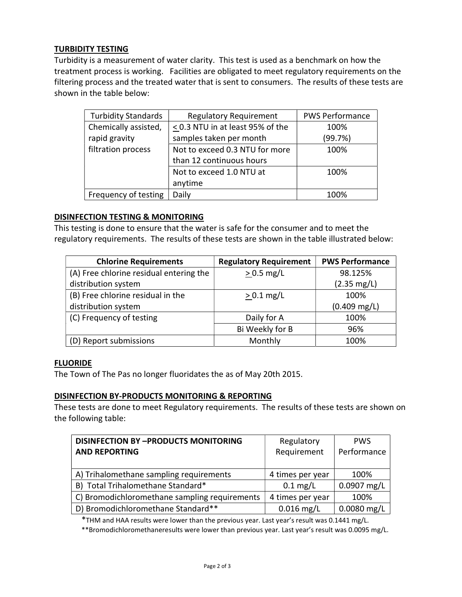## TURBIDITY TESTING

Turbidity is a measurement of water clarity. This test is used as a benchmark on how the treatment process is working. Facilities are obligated to meet regulatory requirements on the filtering process and the treated water that is sent to consumers. The results of these tests are shown in the table below:

| <b>Turbidity Standards</b> | <b>Regulatory Requirement</b>         | <b>PWS Performance</b> |
|----------------------------|---------------------------------------|------------------------|
| Chemically assisted,       | $\leq$ 0.3 NTU in at least 95% of the | 100%                   |
| rapid gravity              | samples taken per month               | (99.7%)                |
| filtration process         | Not to exceed 0.3 NTU for more        | 100%                   |
|                            | than 12 continuous hours              |                        |
|                            | Not to exceed 1.0 NTU at              | 100%                   |
|                            | anytime                               |                        |
| Frequency of testing       | Daily                                 | 100%                   |

#### DISINFECTION TESTING & MONITORING

This testing is done to ensure that the water is safe for the consumer and to meet the regulatory requirements. The results of these tests are shown in the table illustrated below:

| <b>Chlorine Requirements</b>            | <b>Regulatory Requirement</b> | <b>PWS Performance</b> |
|-----------------------------------------|-------------------------------|------------------------|
| (A) Free chlorine residual entering the | $> 0.5$ mg/L                  | 98.125%                |
| distribution system                     |                               | $(2.35 \text{ mg/L})$  |
| (B) Free chlorine residual in the       | $> 0.1$ mg/L                  | 100%                   |
| distribution system                     |                               | $(0.409 \text{ mg/L})$ |
| (C) Frequency of testing                | Daily for A                   | 100%                   |
|                                         | Bi Weekly for B               | 96%                    |
| (D) Report submissions                  | Monthly                       | 100%                   |

#### **FLUORIDE**

The Town of The Pas no longer fluoridates the as of May 20th 2015.

#### DISINFECTION BY-PRODUCTS MONITORING & REPORTING

These tests are done to meet Regulatory requirements. The results of these tests are shown on the following table:

| <b>DISINFECTION BY -PRODUCTS MONITORING</b>   | Regulatory         | <b>PWS</b>    |
|-----------------------------------------------|--------------------|---------------|
| <b>AND REPORTING</b>                          | Requirement        | Performance   |
|                                               |                    |               |
| A) Trihalomethane sampling requirements       | 4 times per year   | 100%          |
| B) Total Trihalomethane Standard*             | $0.1 \text{ mg/L}$ | 0.0907 mg/L   |
| C) Bromodichloromethane sampling requirements | 4 times per year   | 100%          |
| D) Bromodichloromethane Standard**            | $0.016$ mg/L       | $0.0080$ mg/L |

\*THM and HAA results were lower than the previous year. Last year's result was 0.1441 mg/L.

\*\*Bromodichloromethaneresults were lower than previous year. Last year's result was 0.0095 mg/L.